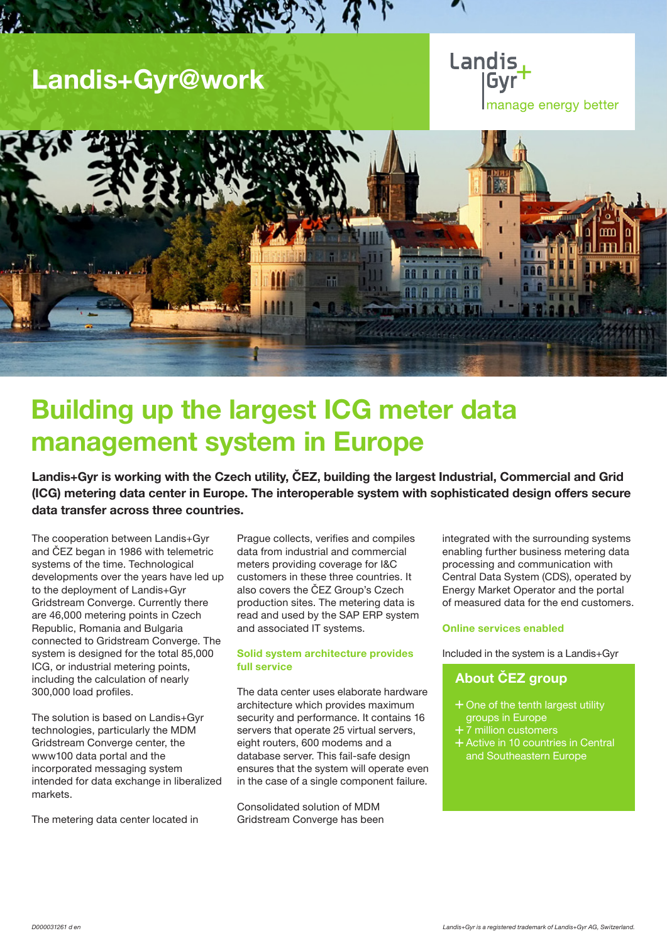## Landis+Gyr@work





# Building up the largest ICG meter data management system in Europe

Landis+Gyr is working with the Czech utility, ČEZ, building the largest Industrial, Commercial and Grid (ICG) metering data center in Europe. The interoperable system with sophisticated design offers secure data transfer across three countries.

The cooperation between Landis+Gyr and ČEZ began in 1986 with telemetric systems of the time. Technological developments over the years have led up to the deployment of Landis+Gyr Gridstream Converge. Currently there are 46,000 metering points in Czech Republic, Romania and Bulgaria connected to Gridstream Converge. The system is designed for the total 85,000 ICG, or industrial metering points, including the calculation of nearly 300,000 load profiles.

The solution is based on Landis+Gyr technologies, particularly the MDM Gridstream Converge center, the www100 data portal and the incorporated messaging system intended for data exchange in liberalized markets.

The metering data center located in

Prague collects, verifies and compiles data from industrial and commercial meters providing coverage for I&C customers in these three countries. It also covers the ČEZ Group's Czech production sites. The metering data is read and used by the SAP ERP system and associated IT systems.

## Solid system architecture provides full service

The data center uses elaborate hardware architecture which provides maximum security and performance. It contains 16 servers that operate 25 virtual servers, eight routers, 600 modems and a database server. This fail-safe design ensures that the system will operate even in the case of a single component failure.

Consolidated solution of MDM Gridstream Converge has been integrated with the surrounding systems enabling further business metering data processing and communication with Central Data System (CDS), operated by Energy Market Operator and the portal of measured data for the end customers.

### Online services enabled

Included in the system is a Landis+Gyr

## About ČEZ group

- + One of the tenth largest utility groups in Europe
- 7 million customers
- + Active in 10 countries in Central and Southeastern Europe